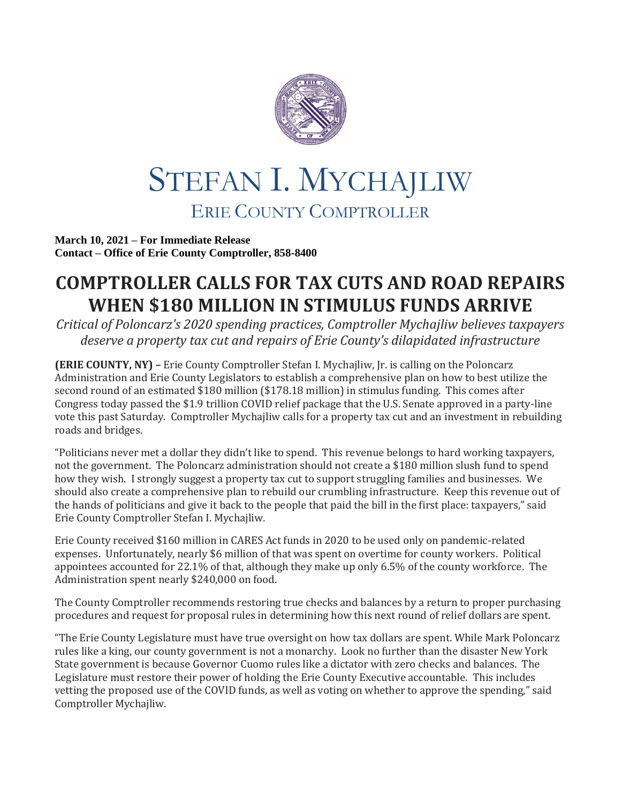

## STEFAN I. MYCHAJLIW ERIE COUNTY COMPTROLLER

**March 10, 2021 – For Immediate Release Contact – Office of Erie County Comptroller, 858-8400**

## **COMPTROLLER CALLS FOR TAX CUTS AND ROAD REPAIRS WHEN \$180 MILLION IN STIMULUS FUNDS ARRIVE**

*Critical of Poloncarz's 2020 spending practices, Comptroller Mychajliw believes taxpayers deserve a property tax cut and repairs of Erie County's dilapidated infrastructure*

**(ERIE COUNTY, NY) –** Erie County Comptroller Stefan I. Mychajliw, Jr. is calling on the Poloncarz Administration and Erie County Legislators to establish a comprehensive plan on how to best utilize the second round of an estimated \$180 million (\$178.18 million) in stimulus funding. This comes after Congress today passed the \$1.9 trillion COVID relief package that the U.S. Senate approved in a party-line vote this past Saturday. Comptroller Mychajliw calls for a property tax cut and an investment in rebuilding roads and bridges.

"Politicians never met a dollar they didn't like to spend. This revenue belongs to hard working taxpayers, not the government. The Poloncarz administration should not create a \$180 million slush fund to spend how they wish. I strongly suggest a property tax cut to support struggling families and businesses. We should also create a comprehensive plan to rebuild our crumbling infrastructure. Keep this revenue out of the hands of politicians and give it back to the people that paid the bill in the first place: taxpayers," said Erie County Comptroller Stefan I. Mychajliw.

Erie County received \$160 million in CARES Act funds in 2020 to be used only on pandemic-related expenses. Unfortunately, nearly \$6 million of that was spent on overtime for county workers. Political appointees accounted for 22.1% of that, although they make up only 6.5% of the county workforce. The Administration spent nearly \$240,000 on food.

The County Comptroller recommends restoring true checks and balances by a return to proper purchasing procedures and request for proposal rules in determining how this next round of relief dollars are spent.

"The Erie County Legislature must have true oversight on how tax dollars are spent. While Mark Poloncarz rules like a king, our county government is not a monarchy. Look no further than the disaster New York State government is because Governor Cuomo rules like a dictator with zero checks and balances. The Legislature must restore their power of holding the Erie County Executive accountable. This includes vetting the proposed use of the COVID funds, as well as voting on whether to approve the spending," said Comptroller Mychajliw.